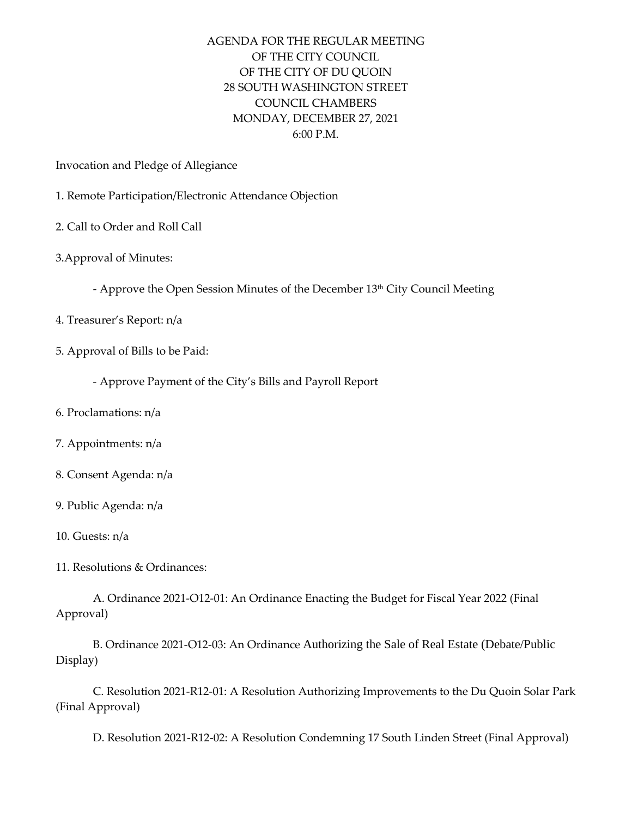## AGENDA FOR THE REGULAR MEETING OF THE CITY COUNCIL OF THE CITY OF DU QUOIN 28 SOUTH WASHINGTON STREET COUNCIL CHAMBERS MONDAY, DECEMBER 27, 2021 6:00 P.M.

Invocation and Pledge of Allegiance

- 1. Remote Participation/Electronic Attendance Objection
- 2. Call to Order and Roll Call
- 3.Approval of Minutes:
	- Approve the Open Session Minutes of the December 13th City Council Meeting
- 4. Treasurer's Report: n/a
- 5. Approval of Bills to be Paid:
	- Approve Payment of the City's Bills and Payroll Report
- 6. Proclamations: n/a
- 7. Appointments: n/a
- 8. Consent Agenda: n/a
- 9. Public Agenda: n/a
- 10. Guests: n/a
- 11. Resolutions & Ordinances:

A. Ordinance 2021-O12-01: An Ordinance Enacting the Budget for Fiscal Year 2022 (Final Approval)

B. Ordinance 2021-O12-03: An Ordinance Authorizing the Sale of Real Estate (Debate/Public Display)

C. Resolution 2021-R12-01: A Resolution Authorizing Improvements to the Du Quoin Solar Park (Final Approval)

D. Resolution 2021-R12-02: A Resolution Condemning 17 South Linden Street (Final Approval)